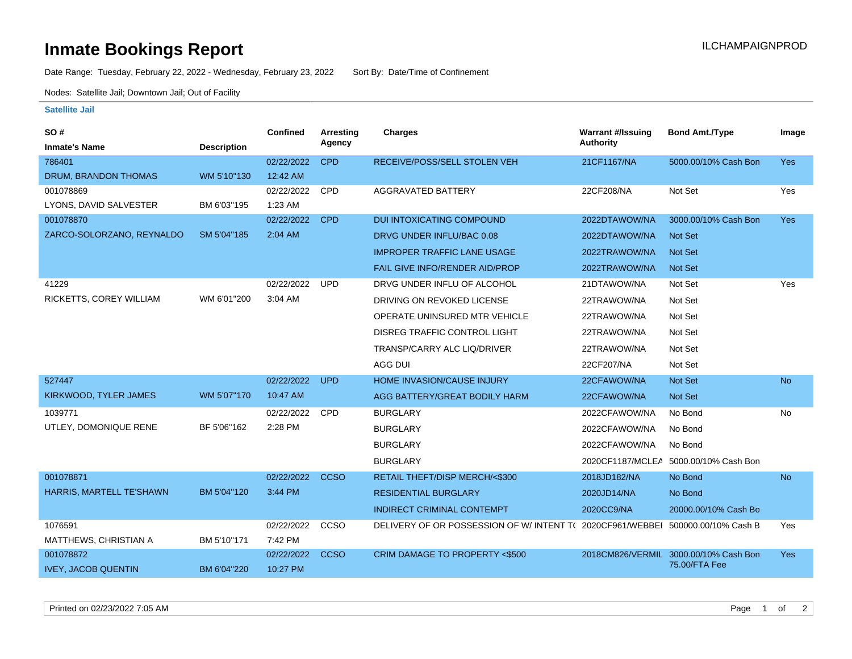## **Inmate Bookings Report Installation ILCHAMPAIGNPROD**

Date Range: Tuesday, February 22, 2022 - Wednesday, February 23, 2022 Sort By: Date/Time of Confinement

Nodes: Satellite Jail; Downtown Jail; Out of Facility

## **Satellite Jail**

| SO#                        |                    | <b>Confined</b> | <b>Arresting</b> | <b>Charges</b>                                            | <b>Warrant #/Issuing</b> | <b>Bond Amt./Type</b>                 | Image      |
|----------------------------|--------------------|-----------------|------------------|-----------------------------------------------------------|--------------------------|---------------------------------------|------------|
| <b>Inmate's Name</b>       | <b>Description</b> |                 | Agency           |                                                           | <b>Authority</b>         |                                       |            |
| 786401                     |                    | 02/22/2022      | <b>CPD</b>       | RECEIVE/POSS/SELL STOLEN VEH                              | 21CF1167/NA              | 5000.00/10% Cash Bon                  | <b>Yes</b> |
| DRUM, BRANDON THOMAS       | WM 5'10"130        | 12:42 AM        |                  |                                                           |                          |                                       |            |
| 001078869                  |                    | 02/22/2022      | CPD              | <b>AGGRAVATED BATTERY</b>                                 | 22CF208/NA               | Not Set                               | Yes        |
| LYONS, DAVID SALVESTER     | BM 6'03"195        | 1:23 AM         |                  |                                                           |                          |                                       |            |
| 001078870                  |                    | 02/22/2022      | <b>CPD</b>       | <b>DUI INTOXICATING COMPOUND</b>                          | 2022DTAWOW/NA            | 3000.00/10% Cash Bon                  | Yes        |
| ZARCO-SOLORZANO, REYNALDO  | SM 5'04"185        | 2:04 AM         |                  | DRVG UNDER INFLU/BAC 0.08                                 | 2022DTAWOW/NA            | <b>Not Set</b>                        |            |
|                            |                    |                 |                  | <b>IMPROPER TRAFFIC LANE USAGE</b>                        | 2022TRAWOW/NA            | <b>Not Set</b>                        |            |
|                            |                    |                 |                  | FAIL GIVE INFO/RENDER AID/PROP                            | 2022TRAWOW/NA            | <b>Not Set</b>                        |            |
| 41229                      |                    | 02/22/2022      | <b>UPD</b>       | DRVG UNDER INFLU OF ALCOHOL                               | 21DTAWOW/NA              | Not Set                               | Yes        |
| RICKETTS, COREY WILLIAM    | WM 6'01"200        | 3:04 AM         |                  | DRIVING ON REVOKED LICENSE                                | 22TRAWOW/NA              | Not Set                               |            |
|                            |                    |                 |                  | OPERATE UNINSURED MTR VEHICLE                             | 22TRAWOW/NA              | Not Set                               |            |
|                            |                    |                 |                  | <b>DISREG TRAFFIC CONTROL LIGHT</b>                       | 22TRAWOW/NA              | Not Set                               |            |
|                            |                    |                 |                  | TRANSP/CARRY ALC LIQ/DRIVER                               | 22TRAWOW/NA              | Not Set                               |            |
|                            |                    |                 |                  | AGG DUI                                                   | 22CF207/NA               | Not Set                               |            |
| 527447                     |                    | 02/22/2022      | <b>UPD</b>       | <b>HOME INVASION/CAUSE INJURY</b>                         | 22CFAWOW/NA              | <b>Not Set</b>                        | <b>No</b>  |
| KIRKWOOD, TYLER JAMES      | WM 5'07"170        | 10:47 AM        |                  | AGG BATTERY/GREAT BODILY HARM                             | 22CFAWOW/NA              | Not Set                               |            |
| 1039771                    |                    | 02/22/2022      | CPD              | <b>BURGLARY</b>                                           | 2022CFAWOW/NA            | No Bond                               | No         |
| UTLEY, DOMONIQUE RENE      | BF 5'06"162        | 2:28 PM         |                  | <b>BURGLARY</b>                                           | 2022CFAWOW/NA            | No Bond                               |            |
|                            |                    |                 |                  | <b>BURGLARY</b>                                           | 2022CFAWOW/NA            | No Bond                               |            |
|                            |                    |                 |                  | <b>BURGLARY</b>                                           |                          | 2020CF1187/MCLEA 5000.00/10% Cash Bon |            |
| 001078871                  |                    | 02/22/2022      | <b>CCSO</b>      | RETAIL THEFT/DISP MERCH/<\$300                            | 2018JD182/NA             | No Bond                               | <b>No</b>  |
| HARRIS, MARTELL TE'SHAWN   | BM 5'04"120        | 3:44 PM         |                  | <b>RESIDENTIAL BURGLARY</b>                               | 2020JD14/NA              | No Bond                               |            |
|                            |                    |                 |                  | <b>INDIRECT CRIMINAL CONTEMPT</b>                         | 2020CC9/NA               | 20000.00/10% Cash Bo                  |            |
| 1076591                    |                    | 02/22/2022      | CCSO             | DELIVERY OF OR POSSESSION OF W/INTENT T( 2020CF961/WEBBEI |                          | 500000.00/10% Cash B                  | Yes        |
| MATTHEWS, CHRISTIAN A      | BM 5'10"171        | 7:42 PM         |                  |                                                           |                          |                                       |            |
| 001078872                  |                    | 02/22/2022      | <b>CCSO</b>      | CRIM DAMAGE TO PROPERTY <\$500                            |                          | 2018CM826/VERMIL 3000.00/10% Cash Bon | Yes        |
| <b>IVEY, JACOB QUENTIN</b> | BM 6'04"220        | 10:27 PM        |                  |                                                           |                          | 75.00/FTA Fee                         |            |

Printed on 02/23/2022 7:05 AM Page 1 of 2